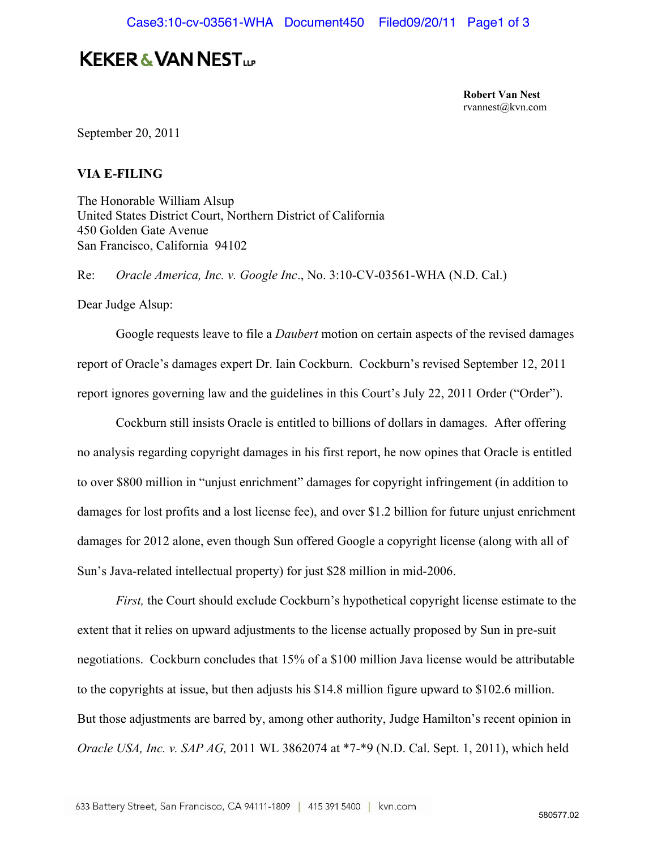## **KEKER & VAN NEST...**

**Robert Van Nest**  rvannest@kvn.com

September 20, 2011

## **VIA E-FILING**

The Honorable William Alsup United States District Court, Northern District of California 450 Golden Gate Avenue San Francisco, California 94102

Re: *Oracle America, Inc. v. Google Inc*., No. 3:10-CV-03561-WHA (N.D. Cal.)

Dear Judge Alsup:

 Google requests leave to file a *Daubert* motion on certain aspects of the revised damages report of Oracle's damages expert Dr. Iain Cockburn. Cockburn's revised September 12, 2011 report ignores governing law and the guidelines in this Court's July 22, 2011 Order ("Order").

 Cockburn still insists Oracle is entitled to billions of dollars in damages. After offering no analysis regarding copyright damages in his first report, he now opines that Oracle is entitled to over \$800 million in "unjust enrichment" damages for copyright infringement (in addition to damages for lost profits and a lost license fee), and over \$1.2 billion for future unjust enrichment damages for 2012 alone, even though Sun offered Google a copyright license (along with all of Sun's Java-related intellectual property) for just \$28 million in mid-2006.

*First,* the Court should exclude Cockburn's hypothetical copyright license estimate to the extent that it relies on upward adjustments to the license actually proposed by Sun in pre-suit negotiations. Cockburn concludes that 15% of a \$100 million Java license would be attributable to the copyrights at issue, but then adjusts his \$14.8 million figure upward to \$102.6 million. But those adjustments are barred by, among other authority, Judge Hamilton's recent opinion in *Oracle USA, Inc. v. SAP AG,* 2011 WL 3862074 at \*7-\*9 (N.D. Cal. Sept. 1, 2011), which held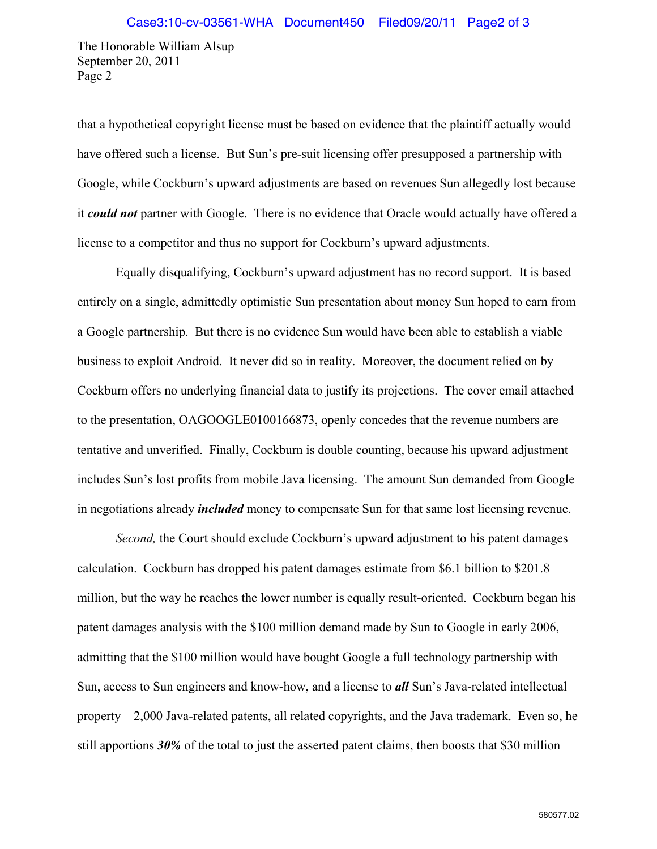The Honorable William Alsup September 20, 2011 Page 2

that a hypothetical copyright license must be based on evidence that the plaintiff actually would have offered such a license. But Sun's pre-suit licensing offer presupposed a partnership with Google, while Cockburn's upward adjustments are based on revenues Sun allegedly lost because it *could not* partner with Google. There is no evidence that Oracle would actually have offered a license to a competitor and thus no support for Cockburn's upward adjustments.

 Equally disqualifying, Cockburn's upward adjustment has no record support. It is based entirely on a single, admittedly optimistic Sun presentation about money Sun hoped to earn from a Google partnership. But there is no evidence Sun would have been able to establish a viable business to exploit Android. It never did so in reality. Moreover, the document relied on by Cockburn offers no underlying financial data to justify its projections. The cover email attached to the presentation, OAGOOGLE0100166873, openly concedes that the revenue numbers are tentative and unverified. Finally, Cockburn is double counting, because his upward adjustment includes Sun's lost profits from mobile Java licensing. The amount Sun demanded from Google in negotiations already *included* money to compensate Sun for that same lost licensing revenue.

*Second*, the Court should exclude Cockburn's upward adjustment to his patent damages calculation. Cockburn has dropped his patent damages estimate from \$6.1 billion to \$201.8 million, but the way he reaches the lower number is equally result-oriented. Cockburn began his patent damages analysis with the \$100 million demand made by Sun to Google in early 2006, admitting that the \$100 million would have bought Google a full technology partnership with Sun, access to Sun engineers and know-how, and a license to *all* Sun's Java-related intellectual property—2,000 Java-related patents, all related copyrights, and the Java trademark. Even so, he still apportions *30%* of the total to just the asserted patent claims, then boosts that \$30 million